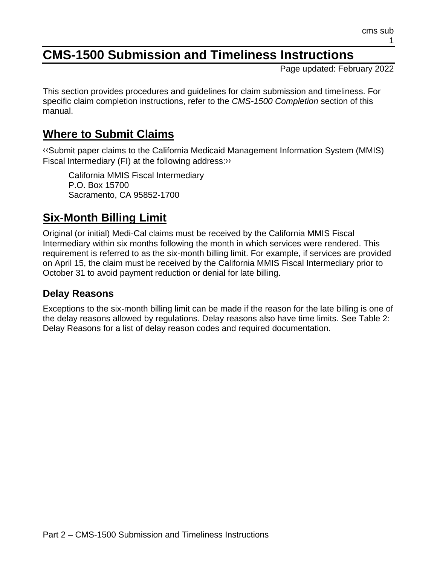# **CMS-1500 Submission and Timeliness Instructions**

Page updated: February 2022

This section provides procedures and guidelines for claim submission and timeliness. For specific claim completion instructions, refer to the *CMS-1500 Completion* section of this manual.

## **Where to Submit Claims**

[‹‹S](#page-7-0)ubmit paper claims to the California Medicaid Management Information System (MMIS) Fiscal Intermediary (FI) at the following address[:››](#page-7-1)

California MMIS Fiscal Intermediary P.O. Box 15700 Sacramento, CA 95852-1700

# **Six-Month Billing Limit**

Original (or initial) Medi-Cal claims must be received by the California MMIS Fiscal Intermediary within six months following the month in which services were rendered. This requirement is referred to as the six-month billing limit. For example, if services are provided on April 15, the claim must be received by the California MMIS Fiscal Intermediary prior to October 31 to avoid payment reduction or denial for late billing.

## **Delay Reasons**

Exceptions to the six-month billing limit can be made if the reason for the late billing is one of the delay reasons allowed by regulations. Delay reasons also have time limits. See Table 2: Delay Reasons for a list of delay reason codes and required documentation.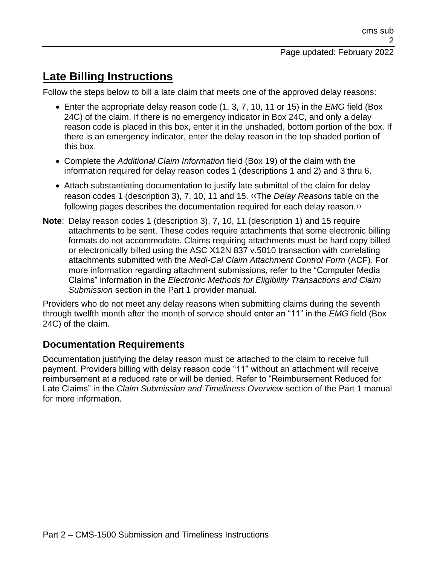## **Late Billing Instructions**

Follow the steps below to bill a late claim that meets one of the approved delay reasons:

- Enter the appropriate delay reason code (1, 3, 7, 10, 11 or 15) in the *EMG* field (Box 24C) of the claim. If there is no emergency indicator in Box 24C, and only a delay reason code is placed in this box, enter it in the unshaded, bottom portion of the box. If there is an emergency indicator, enter the delay reason in the top shaded portion of this box.
- Complete the *Additional Claim Information* field (Box 19) of the claim with the information required for delay reason codes 1 (descriptions 1 and 2) and 3 thru 6.
- Attach substantiating documentation to justify late submittal of the claim for delay reason codes 1 (description 3), 7, 10, 11 and 15. [‹‹T](#page-7-0)he *Delay Reasons* table on the following pages describes the documentation required for each delay reason[.››](#page-7-1)
- **Note**: Delay reason codes 1 (description 3), 7, 10, 11 (description 1) and 15 require attachments to be sent. These codes require attachments that some electronic billing formats do not accommodate. Claims requiring attachments must be hard copy billed or electronically billed using the ASC X12N 837 v.5010 transaction with correlating attachments submitted with the *Medi-Cal Claim Attachment Control Form* (ACF). For more information regarding attachment submissions, refer to the "Computer Media Claims" information in the *Electronic Methods for Eligibility Transactions and Claim Submission* section in the Part 1 provider manual.

Providers who do not meet any delay reasons when submitting claims during the seventh through twelfth month after the month of service should enter an "11" in the *EMG* field (Box 24C) of the claim.

### **Documentation Requirements**

Documentation justifying the delay reason must be attached to the claim to receive full payment. Providers billing with delay reason code "11" without an attachment will receive reimbursement at a reduced rate or will be denied. Refer to "Reimbursement Reduced for Late Claims" in the *Claim Submission and Timeliness Overview* section of the Part 1 manual for more information.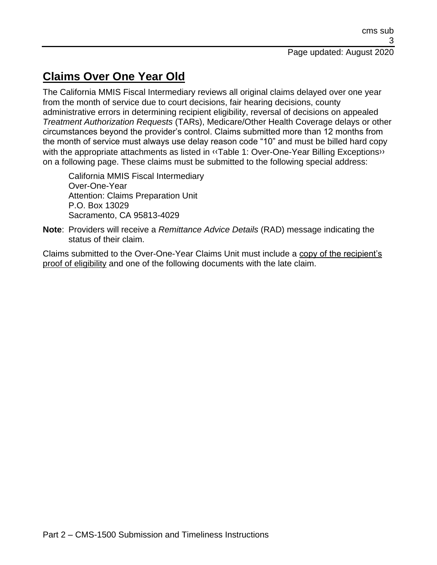# **Claims Over One Year Old**

The California MMIS Fiscal Intermediary reviews all original claims delayed over one year from the month of service due to court decisions, fair hearing decisions, county administrative errors in determining recipient eligibility, reversal of decisions on appealed *Treatment Authorization Requests* (TARs), Medicare/Other Health Coverage delays or other circumstances beyond the provider's control. Claims submitted more than 12 months from the month of service must always use delay reason code "10" and must be billed hard copy with the appropriate attachments as listed in «Table 1: Over-One-Year Billing Exceptions» on a following page. These claims must be submitted to the following special address:

California MMIS Fiscal Intermediary Over-One-Year Attention: Claims Preparation Unit P.O. Box 13029 Sacramento, CA 95813-4029

**Note**: Providers will receive a *Remittance Advice Details* (RAD) message indicating the status of their claim.

Claims submitted to the Over-One-Year Claims Unit must include a copy of the recipient's proof of eligibility and one of the following documents with the late claim.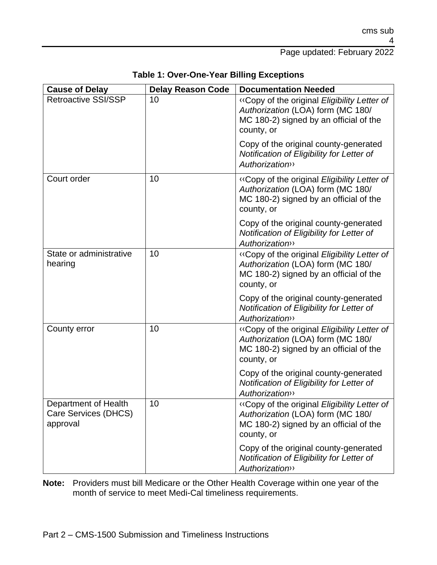Page updated: February 2022

| <b>Cause of Delay</b>                                    | <b>Delay Reason Code</b> | <b>Documentation Needed</b>                                                                                                              |
|----------------------------------------------------------|--------------------------|------------------------------------------------------------------------------------------------------------------------------------------|
| <b>Retroactive SSI/SSP</b>                               | 10                       | «Copy of the original Eligibility Letter of<br>Authorization (LOA) form (MC 180/<br>MC 180-2) signed by an official of the<br>county, or |
|                                                          |                          | Copy of the original county-generated<br>Notification of Eligibility for Letter of<br><b>Authorization</b>                               |
| Court order                                              | 10                       | «Copy of the original Eligibility Letter of<br>Authorization (LOA) form (MC 180/<br>MC 180-2) signed by an official of the<br>county, or |
|                                                          |                          | Copy of the original county-generated<br>Notification of Eligibility for Letter of<br><b>Authorization</b> >>                            |
| State or administrative<br>hearing                       | 10                       | «Copy of the original Eligibility Letter of<br>Authorization (LOA) form (MC 180/<br>MC 180-2) signed by an official of the<br>county, or |
|                                                          |                          | Copy of the original county-generated<br>Notification of Eligibility for Letter of<br><b>Authorization</b> >>                            |
| County error                                             | 10                       | «Copy of the original Eligibility Letter of<br>Authorization (LOA) form (MC 180/<br>MC 180-2) signed by an official of the<br>county, or |
|                                                          |                          | Copy of the original county-generated<br>Notification of Eligibility for Letter of<br><b>Authorization</b> >>                            |
| Department of Health<br>Care Services (DHCS)<br>approval | 10                       | «Copy of the original Eligibility Letter of<br>Authorization (LOA) form (MC 180/<br>MC 180-2) signed by an official of the<br>county, or |
|                                                          |                          | Copy of the original county-generated<br>Notification of Eligibility for Letter of<br><b>Authorization</b> >>                            |

**Table 1: Over-One-Year Billing Exceptions**

**Note:** Providers must bill Medicare or the Other Health Coverage within one year of the month of service to meet Medi-Cal timeliness requirements.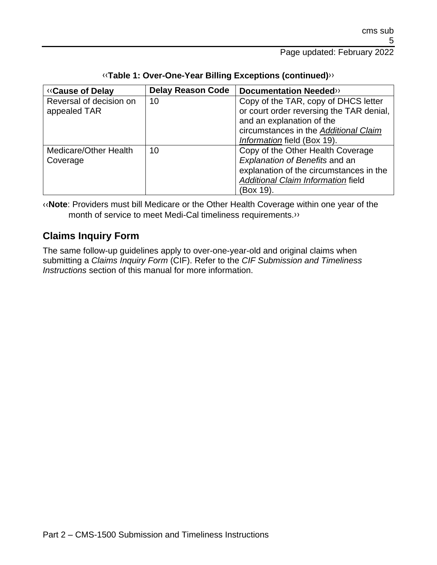| <b>«Cause of Delay</b>  | <b>Delay Reason Code</b> | <b>Documentation Needed&gt;&gt;</b>      |
|-------------------------|--------------------------|------------------------------------------|
| Reversal of decision on | 10                       | Copy of the TAR, copy of DHCS letter     |
| appealed TAR            |                          | or court order reversing the TAR denial, |
|                         |                          | and an explanation of the                |
|                         |                          | circumstances in the Additional Claim    |
|                         |                          | Information field (Box 19).              |
| Medicare/Other Health   | 10                       | Copy of the Other Health Coverage        |
| Coverage                |                          | Explanation of Benefits and an           |
|                         |                          | explanation of the circumstances in the  |
|                         |                          | Additional Claim Information field       |
|                         |                          | (Box 19).                                |

#### [‹‹](#page-7-0)**Table 1: Over-One-Year Billing Exceptions (continued)**[››](#page-7-1)

[‹‹](#page-7-0)**Note**: Providers must bill Medicare or the Other Health Coverage within one year of the month of service to meet Medi-Cal timeliness requirements[.››](#page-7-1)

### **Claims Inquiry Form**

The same follow-up guidelines apply to over-one-year-old and original claims when submitting a *Claims Inquiry Form* (CIF). Refer to the *CIF Submission and Timeliness Instructions* section of this manual for more information.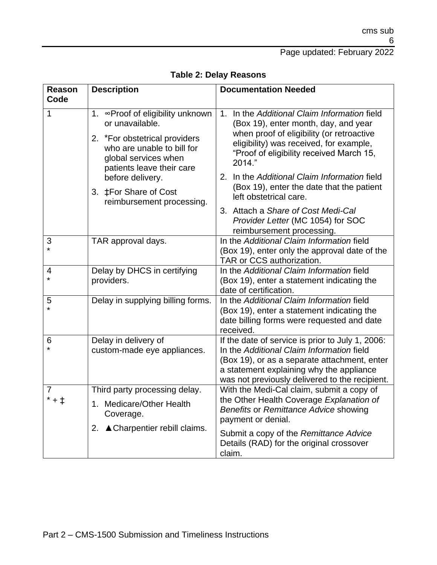## Page updated: February 2022

| <b>Reason</b><br>Code            | <b>Description</b>                                                                                                                                                      | <b>Documentation Needed</b>                                                                                                                                                                                                                 |
|----------------------------------|-------------------------------------------------------------------------------------------------------------------------------------------------------------------------|---------------------------------------------------------------------------------------------------------------------------------------------------------------------------------------------------------------------------------------------|
| $\mathbf{1}$                     | 1. ∞Proof of eligibility unknown<br>or unavailable.<br>2. *For obstetrical providers<br>who are unable to bill for<br>global services when<br>patients leave their care | 1. In the Additional Claim Information field<br>(Box 19), enter month, day, and year<br>when proof of eligibility (or retroactive<br>eligibility) was received, for example,<br>"Proof of eligibility received March 15,<br>2014."          |
|                                  | before delivery.<br>3. #For Share of Cost<br>reimbursement processing.                                                                                                  | 2. In the Additional Claim Information field<br>(Box 19), enter the date that the patient<br>left obstetrical care.                                                                                                                         |
|                                  |                                                                                                                                                                         | 3. Attach a Share of Cost Medi-Cal<br>Provider Letter (MC 1054) for SOC<br>reimbursement processing.                                                                                                                                        |
| 3<br>$\star$                     | TAR approval days.                                                                                                                                                      | In the Additional Claim Information field<br>(Box 19), enter only the approval date of the<br>TAR or CCS authorization.                                                                                                                     |
| 4<br>$\star$                     | Delay by DHCS in certifying<br>providers.                                                                                                                               | In the Additional Claim Information field<br>(Box 19), enter a statement indicating the<br>date of certification.                                                                                                                           |
| 5                                | Delay in supplying billing forms.                                                                                                                                       | In the Additional Claim Information field<br>(Box 19), enter a statement indicating the<br>date billing forms were requested and date<br>received.                                                                                          |
| 6                                | Delay in delivery of<br>custom-made eye appliances.                                                                                                                     | If the date of service is prior to July 1, 2006:<br>In the Additional Claim Information field<br>(Box 19), or as a separate attachment, enter<br>a statement explaining why the appliance<br>was not previously delivered to the recipient. |
| $\overline{7}$<br>$* + \ddagger$ | Third party processing delay.<br>1. Medicare/Other Health<br>Coverage.<br>2. <b>A</b> Charpentier rebill claims.                                                        | With the Medi-Cal claim, submit a copy of<br>the Other Health Coverage Explanation of<br>Benefits or Remittance Advice showing<br>payment or denial.                                                                                        |
|                                  |                                                                                                                                                                         | Submit a copy of the Remittance Advice<br>Details (RAD) for the original crossover<br>claim.                                                                                                                                                |

### **Table 2: Delay Reasons**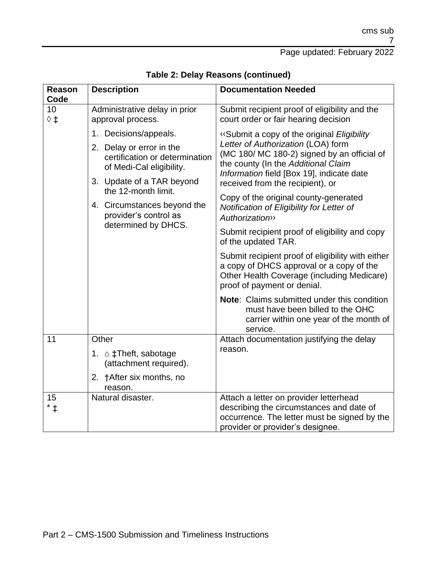## Page updated: February 2022

| <b>Reason</b><br>Code       | <b>Description</b>                                                                     | <b>Documentation Needed</b>                                                                                                                                                |
|-----------------------------|----------------------------------------------------------------------------------------|----------------------------------------------------------------------------------------------------------------------------------------------------------------------------|
| 10<br>$\diamond$ $\ddagger$ | Administrative delay in prior<br>approval process.                                     | Submit recipient proof of eligibility and the<br>court order or fair hearing decision                                                                                      |
|                             | 1. Decisions/appeals.                                                                  | «Submit a copy of the original Eligibility                                                                                                                                 |
|                             | 2. Delay or error in the<br>certification or determination<br>of Medi-Cal eligibility. | Letter of Authorization (LOA) form<br>(MC 180/ MC 180-2) signed by an official of<br>the county (In the Additional Claim<br>Information field [Box 19], indicate date      |
|                             | 3. Update of a TAR beyond<br>the 12-month limit.                                       | received from the recipient), or                                                                                                                                           |
|                             | 4. Circumstances beyond the<br>provider's control as<br>determined by DHCS.            | Copy of the original county-generated<br>Notification of Eligibility for Letter of<br><b>Authorization</b>                                                                 |
|                             |                                                                                        | Submit recipient proof of eligibility and copy<br>of the updated TAR.                                                                                                      |
|                             |                                                                                        | Submit recipient proof of eligibility with either<br>a copy of DHCS approval or a copy of the<br>Other Health Coverage (including Medicare)<br>proof of payment or denial. |
|                             |                                                                                        | Note: Claims submitted under this condition<br>must have been billed to the OHC<br>carrier within one year of the month of<br>service.                                     |
| 11                          | Other                                                                                  | Attach documentation justifying the delay                                                                                                                                  |
|                             | 1. $\triangle$ ‡Theft, sabotage<br>(attachment required).                              | reason.                                                                                                                                                                    |
|                             | 2. †After six months, no<br>reason.                                                    |                                                                                                                                                                            |
| 15<br>* ‡                   | Natural disaster.                                                                      | Attach a letter on provider letterhead<br>describing the circumstances and date of<br>occurrence. The letter must be signed by the<br>provider or provider's designee.     |

**Table 2: Delay Reasons (continued)**